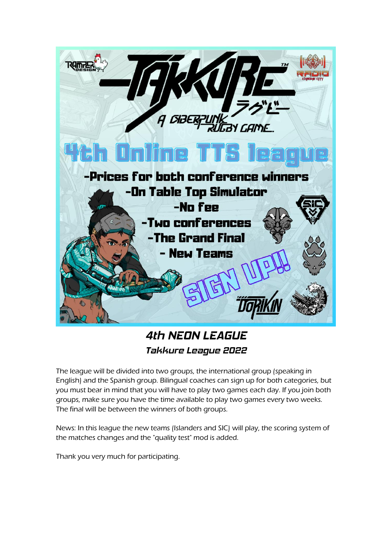

# *4th NEON LEAGUE Takkure League 2022*

The league will be divided into two groups, the international group (speaking in English) and the Spanish group. Bilingual coaches can sign up for both categories, but you must bear in mind that you will have to play two games each day. If you join both groups, make sure you have the time available to play two games every two weeks. The final will be between the winners of both groups.

News: In this league the new teams (Islanders and SIC) will play, the scoring system of the matches changes and the "quality test" mod is added.

Thank you very much for participating.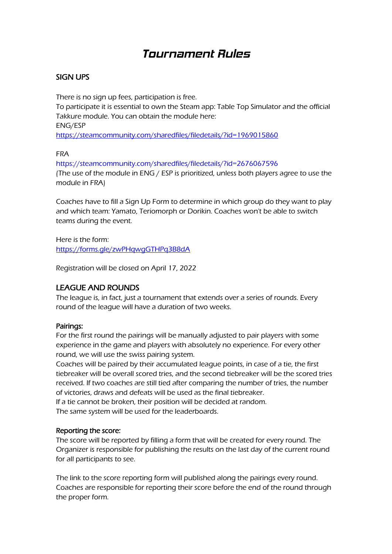# *Tournament Rules*

# SIGN UPS

There is no sign up fees, participation is free. To participate it is essential to own the Steam app: Table Top Simulator and the official Takkure module. You can obtain the module here: ENG/ESP <https://steamcommunity.com/sharedfiles/filedetails/?id=1969015860>

#### FRA

<https://steamcommunity.com/sharedfiles/filedetails/?id=2676067596> (The use of the module in ENG / ESP is prioritized, unless both players agree to use the module in FRA)

Coaches have to fill a Sign Up Form to determine in which group do they want to play and which team: Yamato, Teriomorph or Dorikin. Coaches won't be able to switch teams during the event.

Here is the form: <https://forms.gle/zwPHqwgGTHPq3B8dA>

Registration will be closed on April 17, 2022

# LEAGUE AND ROUNDS

The league is, in fact, just a tournament that extends over a series of rounds. Every round of the league will have a duration of two weeks.

### Pairings:

For the first round the pairings will be manually adjusted to pair players with some experience in the game and players with absolutely no experience. For every other round, we will use the swiss pairing system.

Coaches will be paired by their accumulated league points, in case of a tie, the first tiebreaker will be overall scored tries, and the second tiebreaker will be the scored tries received. If two coaches are still tied after comparing the number of tries, the number of victories, draws and defeats will be used as the final tiebreaker.

If a tie cannot be broken, their position will be decided at random. The same system will be used for the leaderboards.

### Reporting the score:

The score will be reported by filling a form that will be created for every round. The Organizer is responsible for publishing the results on the last day of the current round for all participants to see.

The link to the score reporting form will published along the pairings every round. Coaches are responsible for reporting their score before the end of the round through the proper form.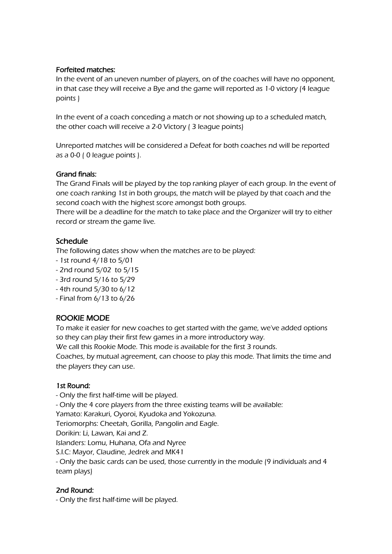## Forfeited matches:

In the event of an uneven number of players, on of the coaches will have no opponent, in that case they will receive a Bye and the game will reported as 1-0 victory (4 league points )

In the event of a coach conceding a match or not showing up to a scheduled match, the other coach will receive a 2-0 Victory ( 3 league points)

Unreported matches will be considered a Defeat for both coaches nd will be reported as a 0-0 ( 0 league points ).

### Grand finals:

The Grand Finals will be played by the top ranking player of each group. In the event of one coach ranking 1st in both groups, the match will be played by that coach and the second coach with the highest score amongst both groups.

There will be a deadline for the match to take place and the Organizer will try to either record or stream the game live.

# Schedule

The following dates show when the matches are to be played:

- 1st round 4/18 to 5/01
- 2nd round 5/02 to 5/15
- 3rd round 5/16 to 5/29
- 4th round 5/30 to 6/12
- Final from 6/13 to 6/26

# ROOKIE MODE

To make it easier for new coaches to get started with the game, we've added options so they can play their first few games in a more introductory way.

We call this Rookie Mode. This mode is available for the first 3 rounds.

Coaches, by mutual agreement, can choose to play this mode. That limits the time and the players they can use.

### 1st Round:

- Only the first half-time will be played.

- Only the 4 core players from the three existing teams will be available:

Yamato: Karakuri, Oyoroi, Kyudoka and Yokozuna.

Teriomorphs: Cheetah, Gorilla, Pangolin and Eagle.

Dorikin: Li, Lawan, Kai and Z.

Islanders: Lomu, Huhana, Ofa and Nyree

S.I.C: Mayor, Claudine, Jedrek and MK41

- Only the basic cards can be used, those currently in the module (9 individuals and 4 team plays)

# 2nd Round:

- Only the first half-time will be played.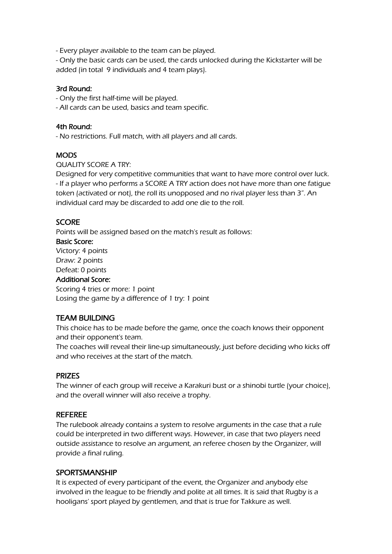- Every player available to the team can be played.

- Only the basic cards can be used, the cards unlocked during the Kickstarter will be added (in total 9 individuals and 4 team plays).

## 3rd Round:

- Only the first half-time will be played.

- All cards can be used, basics and team specific.

### 4th Round:

- No restrictions. Full match, with all players and all cards.

## **MODS**

QUALITY SCORE A TRY:

Designed for very competitive communities that want to have more control over luck. - If a player who performs a SCORE A TRY action does not have more than one fatigue token (activated or not), the roll its unopposed and no rival player less than 3". An individual card may be discarded to add one die to the roll.

## **SCORE**

Points will be assigned based on the match's result as follows: Basic Score: Victory: 4 points Draw: 2 points Defeat: 0 points

### Additional Score:

Scoring 4 tries or more: 1 point Losing the game by a difference of 1 try: 1 point

# TEAM BUILDING

This choice has to be made before the game, once the coach knows their opponent and their opponent's team.

The coaches will reveal their line-up simultaneously, just before deciding who kicks off and who receives at the start of the match.

### PRIZES

The winner of each group will receive a Karakuri bust or a shinobi turtle (your choice), and the overall winner will also receive a trophy.

### REFEREE

The rulebook already contains a system to resolve arguments in the case that a rule could be interpreted in two different ways. However, in case that two players need outside assistance to resolve an argument, an referee chosen by the Organizer, will provide a final ruling.

### **SPORTSMANSHIP**

It is expected of every participant of the event, the Organizer and anybody else involved in the league to be friendly and polite at all times. It is said that Rugby is a hooligans' sport played by gentlemen, and that is true for Takkure as well.